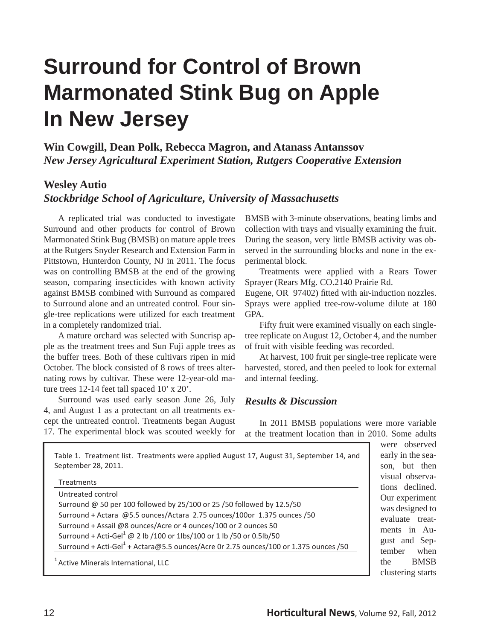# **Surround for Control of Brown Marmonated Stink Bug on Apple In New Jersey**

**Win Cowgill, Dean Polk, Rebecca Magron, and Atanass Antanssov** *New Jersey Agricultural Experiment Station, Rutgers Cooperative Extension*

### **Wesley Autio**

*Stockbridge School of Agriculture, University of Massachusetts*

 A replicated trial was conducted to investigate Surround and other products for control of Brown Marmonated Stink Bug (BMSB) on mature apple trees at the Rutgers Snyder Research and Extension Farm in Pittstown, Hunterdon County, NJ in 2011. The focus was on controlling BMSB at the end of the growing season, comparing insecticides with known activity against BMSB combined with Surround as compared to Surround alone and an untreated control. Four single-tree replications were utilized for each treatment in a completely randomized trial.

 A mature orchard was selected with Suncrisp apple as the treatment trees and Sun Fuji apple trees as the buffer trees. Both of these cultivars ripen in mid October. The block consisted of 8 rows of trees alternating rows by cultivar. These were 12-year-old mature trees 12-14 feet tall spaced 10' x 20'.

 Surround was used early season June 26, July 4, and August 1 as a protectant on all treatments except the untreated control. Treatments began August 17. The experimental block was scouted weekly for BMSB with 3-minute observations, beating limbs and collection with trays and visually examining the fruit. During the season, very little BMSB activity was observed in the surrounding blocks and none in the experimental block.

 Treatments were applied with a Rears Tower Sprayer (Rears Mfg. CO.2140 Prairie Rd.

Eugene, OR 97402) fitted with air-induction nozzles. Sprays were applied tree-row-volume dilute at 180 GPA.

 Fifty fruit were examined visually on each singletree replicate on August 12, October 4, and the number of fruit with visible feeding was recorded.

 At harvest, 100 fruit per single-tree replicate were harvested, stored, and then peeled to look for external and internal feeding.

#### *Results & Discussion*

 In 2011 BMSB populations were more variable at the treatment location than in 2010. Some adults

| <b>Treatments</b>                                                                                |  |
|--------------------------------------------------------------------------------------------------|--|
| Untreated control                                                                                |  |
| Surround @ 50 per 100 followed by 25/100 or 25 /50 followed by 12.5/50                           |  |
| Surround + Actara @5.5 ounces/Actara 2.75 ounces/100or 1.375 ounces /50                          |  |
| Surround + Assail @8 ounces/Acre or 4 ounces/100 or 2 ounces 50                                  |  |
| Surround + Acti-Gel <sup>1</sup> @ 2 lb /100 or 1lbs/100 or 1 lb /50 or 0.5lb/50                 |  |
| Surround + Acti-Gel <sup>1</sup> + Actara@5.5 ounces/Acre 0r 2.75 ounces/100 or 1.375 ounces /50 |  |

ly in the sean, but then ual observans declined. or experiment s designed to aluate treatments in Aust and Sepnber when **BMSB** clustering starts

**1** were observed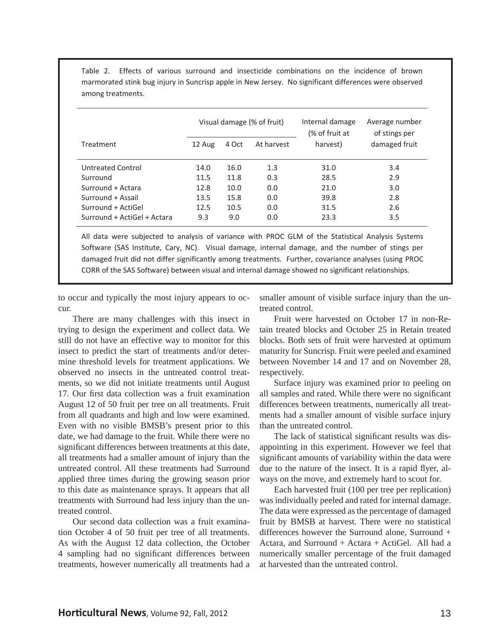|                             | Visual damage (% of fruit) |       |            | Internal damage<br>(% of fruit at | Average number<br>of stings per |  |
|-----------------------------|----------------------------|-------|------------|-----------------------------------|---------------------------------|--|
| <b>Treatment</b>            | 12 Aug                     | 4 Oct | At harvest | harvest)                          | damaged fruit                   |  |
| Untreated Control           | 14.0                       | 16.0  | 1.3        | 31.0                              | 3.4                             |  |
| Surround                    | 11.5                       | 11.8  | 0.3        | 28.5                              | 2.9                             |  |
| Surround + Actara           | 12.8                       | 10.0  | 0.0        | 21.0                              | 3.0                             |  |
| Surround + Assail           | 13.5                       | 15.8  | 0.0        | 39.8                              | 2.8                             |  |
| Surround + ActiGel          | 12.5                       | 10.5  | 0.0        | 31.5                              | 2.6                             |  |
| Surround + ActiGel + Actara | 9.3                        | 9.0   | 0.0        | 23.3                              | 3.5                             |  |

Table 2. Effects of various surround and insecticide combinations on the incidence of brown marmorated stink bug injury in Suncrisp apple in New Jersey. No significant differences were observed among treatments.

All data were subjected to analysis of variance with PROC GLM of the Statistical Analysis Systems Software (SAS Institute, Cary, NC). Visual damage, internal damage, and the number of stings per damaged fruit did not differ significantly among treatments. Further, covariance analyses (using PROC CORR of the SAS Software) between visual and internal damage showed no significant relationships.

to occur and typically the most injury appears to occur.

 There are many challenges with this insect in trying to design the experiment and collect data. We still do not have an effective way to monitor for this insect to predict the start of treatments and/or determine threshold levels for treatment applications. We observed no insects in the untreated control treatments, so we did not initiate treatments until August 17. Our first data collection was a fruit examination August 12 of 50 fruit per tree on all treatments. Fruit from all quadrants and high and low were examined. Even with no visible BMSB's present prior to this date, we had damage to the fruit. While there were no significant differences between treatments at this date, all treatments had a smaller amount of injury than the untreated control. All these treatments had Surround applied three times during the growing season prior to this date as maintenance sprays. It appears that all treatments with Surround had less injury than the untreated control.

 Our second data collection was a fruit examination October 4 of 50 fruit per tree of all treatments. As with the August 12 data collection, the October 4 sampling had no significant differences between treatments, however numerically all treatments had a smaller amount of visible surface injury than the untreated control.

 Fruit were harvested on October 17 in non-Retain treated blocks and October 25 in Retain treated blocks. Both sets of fruit were harvested at optimum maturity for Suncrisp. Fruit were peeled and examined between November 14 and 17 and on November 28, respectively.

 Surface injury was examined prior to peeling on all samples and rated. While there were no significant differences between treatments, numerically all treatments had a smaller amount of visible surface injury than the untreated control.

The lack of statistical significant results was disappointing in this experiment. However we feel that significant amounts of variability within the data were due to the nature of the insect. It is a rapid flyer, always on the move, and extremely hard to scout for.

 Each harvested fruit (100 per tree per replication) was individually peeled and rated for internal damage. The data were expressed as the percentage of damaged fruit by BMSB at harvest. There were no statistical differences however the Surround alone, Surround + Actara, and Surround + Actara + ActiGel. All had a numerically smaller percentage of the fruit damaged at harvested than the untreated control.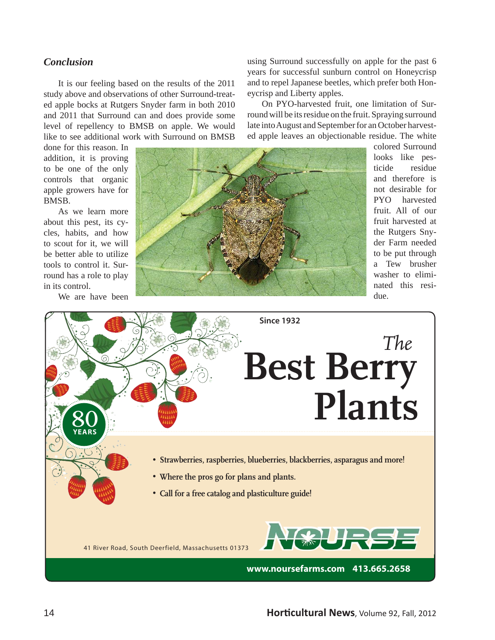#### *Conclusion*

 It is our feeling based on the results of the 2011 study above and observations of other Surround-treated apple bocks at Rutgers Snyder farm in both 2010 and 2011 that Surround can and does provide some level of repellency to BMSB on apple. We would like to see additional work with Surround on BMSB

done for this reason. In addition, it is proving to be one of the only controls that organic apple growers have for BMSB.

 As we learn more about this pest, its cycles, habits, and how to scout for it, we will be better able to utilize tools to control it. Surround has a role to play in its control.

We are have been



ed apple leaves an objectionable residue. The white colored Surround looks like pesticide residue and therefore is not desirable for PYO harvested fruit. All of our fruit harvested at the Rutgers Snyder Farm needed to be put through a Tew brusher washer to eliminated this residue.

using Surround successfully on apple for the past 6 years for successful sunburn control on Honeycrisp and to repel Japanese beetles, which prefer both Hon-

 On PYO-harvested fruit, one limitation of Surround will be its residue on the fruit. Spraying surround late into August and September for an October harvest-

eycrisp and Liberty apples.